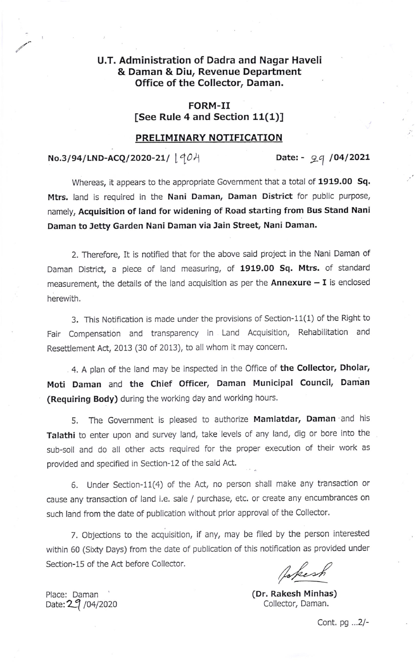# U.T. Administration of Dadra and Nagar Haveli & Daman & Diu, Revenue Department Office of the Collector, Daman.

## FORM-II [See Rule 4 and Section 11(1)]

#### PRELIMINARY NOTIFICATION

### $No.3/94/LND-ACQ/2020-21/ [90A]$  Date: - 9.4 /04/2021

Whereas, it appears to the appropriate Government that a total of 1919.00 Sq. Mtrs. land is required in the Nani Daman, Daman District for public purpose, namely, Acquisition of land for widening of Road starting from Bus Stand Nani Daman to Jetty Garden Nani Daman via Jain Street, Nani Daman.

2. Therefore, It is notified that for the above said project in the Nani Daman of Daman District, a piece of land measuring, of 1919.00 Sq. Mtrs. of standard measurement, the details of the land acquisition as per the  $Annexture - I$  is enclosed herewith.

3. This Notification is made under the provisions of Section-11(1) of the Right to Fair Compensation and transparency in Land Acquisition, Rehabilitation and Resettlement Act, 2013 (30 of 2013), to all whom it may concern.

4. A plan of the land may be inspected in the Office of the Collector, Dholar, Moti Daman and the Chief Officer, Daman Municipal Council, Daman (Requiring Body) during the working day and working hours.

5. The Government is pleased to authorize Mamlatdar, Daman and his Talathi to enter upon and survey land, take levels of any land, dig or bore into the sub-soil and do all other acts required for the proper execution of their work as provided and specified in Section-12 of the said Act.

6. Under Section-11(4) of the Act, no person shall make any transaction or cause any transaction of land i.e. sale / purchase; etc. or create any encumbrances on such land from the date of publication without prior approval of the Collector.

7. Objections to the acquisition, if any, may be filed by the person interested within 60 (Sixty Days) from the date of publication of this notification as provided under Section-15 of the Act before Collector.

Jakesh

(Dr. Rakesh Minhas) Date:  $29/04/2020$  Collector, Daman.

Place: Daman

Conf. pg ...2/-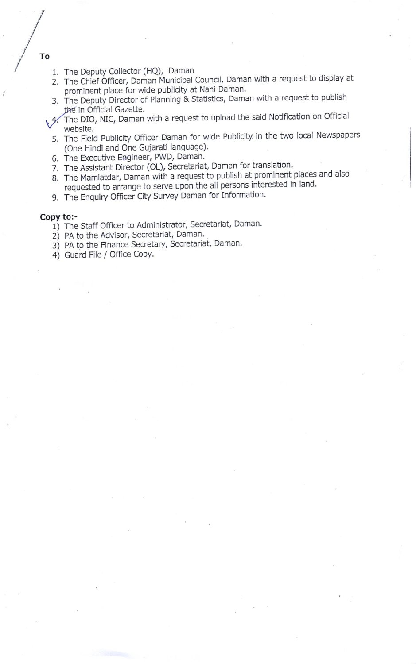- 1. The Deputy Collector (HQ), Daman
- 2. The Chief Officer, Daman Municipal Council, Daman with a request to display at prominent place for wide publicity at Nani Daman.
- 3. The Deputy Director of Planning & Statistics, Daman with a request to publish the in Official Gazette.
- 4. The DIO, NIC, Daman with a request to upload the said Notification on Official<br>website.
	- 5. The Field Publicity offlcer Daman for wide Publicity in the two local Newspapers (One Hindi and One Gujarati language).
	- 6. The Executive Engineer, PWD, Daman.
	- 7. The Assistant Director (OL), Secretariat, Daman for translation.
	- B. The Mamlatdar, Daman with a request to publish at prominent places and also requested to arrange to serve upon the all persons interested in land.
	- 9. The Enquiry Officer City Survey Daman for Information.

- Copy to:-<br>
1) The Staff Officer to Administrator, Secretariat, Daman.
	- 2) PA to the Advisor, Secretariat, Daman.
	- 3) PA to the Finance Secretary, Secretariat, Daman.
	- 4) Guard File / Office Copy.

To